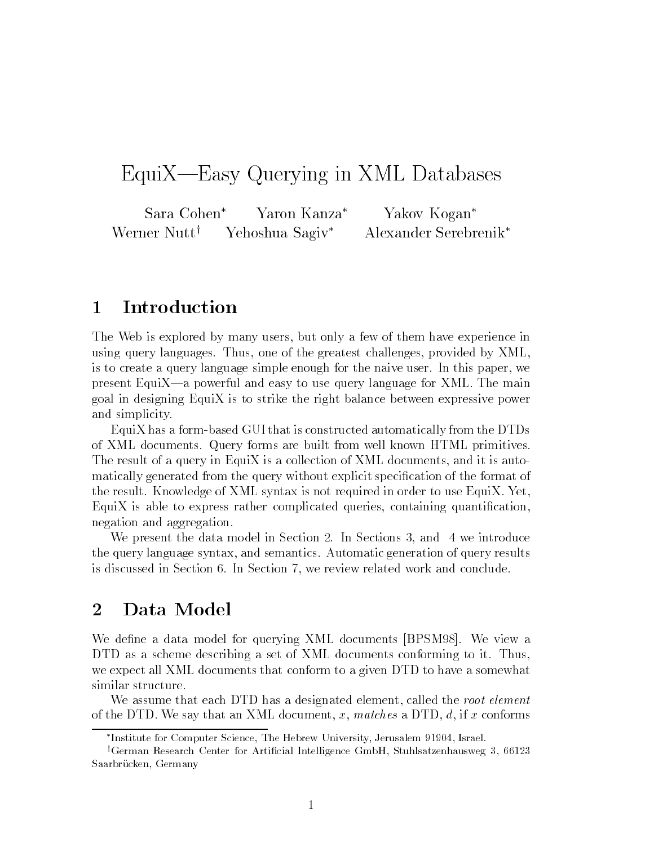# EquiX—Easy Querying in XML Databases

Sara Cohen\* Yaron Kanza\* Yakov Kogan\* Werner Nutt<sup>†</sup> Yehoshua Sagiv<sup>\*</sup> Alexander Serebrenik<sup>\*</sup>

#### 1Introduction

The Web is explored by many users, but only a few of them have experience in using query languages. Thus, one of the greatest challenges, provided by XML, is to create a query language simple enough for the naive user. In this paper, we present EquiX—a powerful and easy to use query language for XML. The main goal in designing EquiX is to strike the right balance between expressive power and simplicity.

EquiX has a form-based GUI that is constructed automatically from the DTDs of XML documents. Query forms are built from well known HTML primitives. The result of a query in EquiX is a collection of XML documents, and it is automatically generated from the query without explicit specication of the format of the result. Knowledge of XML syntax is not required in order to use EquiX. Yet, EquiX is able to express rather complicated queries, containing quantication, negation and aggregation.

We present the data model in Section 2. In Sections 3, and 4 we introduce the query language syntax, and semantics. Automatic generation of query results is discussed in Section 6. In Section 7, we review related work and conclude.

#### 2Data Model

We define a data model for querying XML documents [BPSM98]. We view a DTD as a scheme describing a set of XML documents conforming to it. Thus, we expect all XML documents that conform to a given DTD to have a somewhat similar structure.

We assume that each DTD has a designated element, called the root element of the DTD. We say that an XML document, x, matches a DTD,  $d$ , if x conforms

Institute for Computer Science, The Hebrew University, Jerusalem 91904, Israel.

<sup>&</sup>lt;sup>†</sup>German Research Center for Artificial Intelligence GmbH, Stuhlsatzenhausweg 3, 66123 Saarbrücken, Germany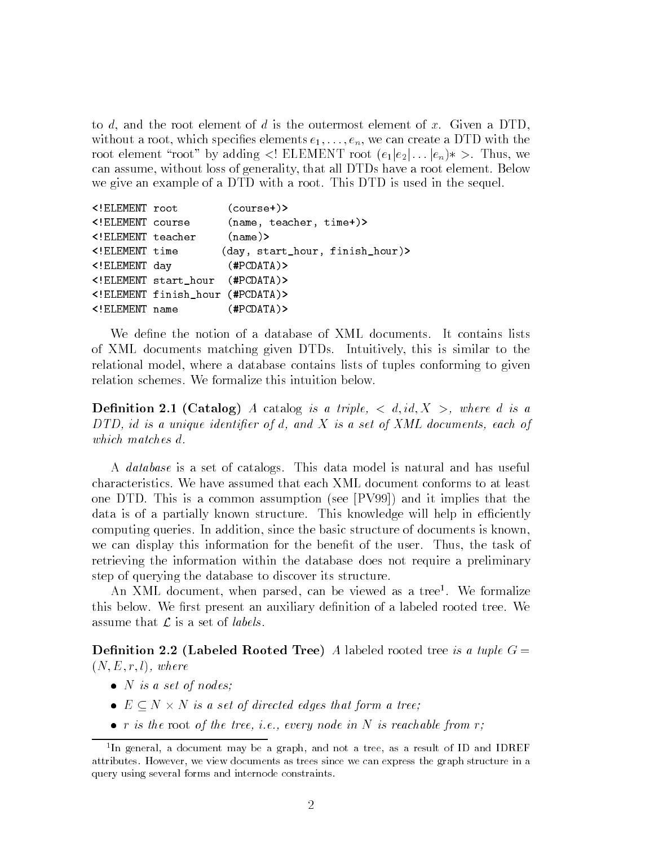to d, and the root element of d is the outermost element of x. Given a DTD, without a root, which specifies elements  $e_1, \ldots, e_n$ , we can create a DTD with the root element "root" by adding <! ELEMENT root  $(e_1|e_2| \ldots |e_n) \times$ . Thus, we can assume, without loss of generality, that all DTDs have a root element. Below we give an example of a DTD with a root. This DTD is used in the sequel.

```
<!ELEMENT root (course+)>
<!ELEMENT course (name, teacher, time+)>
<!ELEMENT teacher (name)>
<!ELEMENT time (day, start_hour, finish_hour)>
<!ELEMENT day (#PCDATA)>
<!ELEMENT start_hour (#PCDATA)>
<!ELEMENT finish_hour (#PCDATA)>
<!ELEMENT name (#PCDATA)>
```
We define the notion of a database of XML documents. It contains lists of XML documents matching given DTDs. Intuitively, this is similar to the relational model, where a database contains lists of tuples conforming to given relation schemes. We formalize this intuition below.

**Definition 2.1 (Catalog)** A catalog is a triple,  $\lt d$ , id,  $X >$ , where d is a  $DTD$ , id is a unique identifier of d, and X is a set of XML documents, each of which matches d.

A database is a set of catalogs. This data model is natural and has useful characteristics. We have assumed that each XML document conforms to at least one DTD. This is a common assumption (see [PV99]) and it implies that the data is of a partially known structure. This knowledge will help in efficiently computing queries. In addition, since the basic structure of documents is known, we can display this information for the benefit of the user. Thus, the task of retrieving the information within the database does not require a preliminary step of querying the database to discover its structure.

An XML document, when parsed, can be viewed as a tree<sup>1</sup> . We formalize this below. We first present an auxiliary definition of a labeled rooted tree. We assume that  $\mathcal L$  is a set of *labels*.

**Definition 2.2 (Labeled Rooted Tree)** A labeled rooted tree is a tuple  $G =$  $(N, E, r, l)$ , where

- $\bullet$  N is a set of nodes;
- e n is a set of directed edges that form a tree;
- r is the root of the tree, i.e., every node in N is reachable from  $r$ ;

<sup>1</sup> In general, a document may be a graph, and not a tree, as a result of ID and IDREF attributes. However, we view documents as trees since we can express the graph structure in a query using several forms and internode constraints.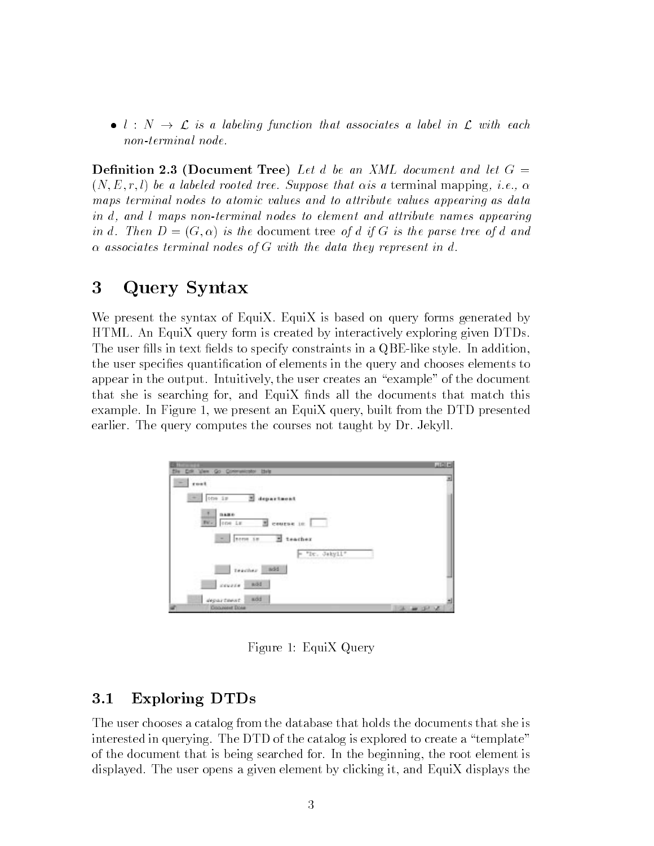•  $l : N \to \mathcal{L}$  is a labeling function that associates a label in  $\mathcal{L}$  with each non-terminal node.

**Definition 2.3 (Document Tree)** Let d be an XML document and let  $G =$  $(N, E, r, l)$  be a labeled rooted tree. Suppose that  $\alpha$  is a terminal mapping, i.e.,  $\alpha$ maps terminal nodes to atomic values and to attribute values appearing as data in d, and <sup>l</sup> maps non-terminal nodes to element and attribute names appearing in d. Then  $D = (G, \alpha)$  is the document tree of d if G is the parse tree of d and  $\alpha$  associates terminal nodes of G with the data they represent in d.

#### 3Query Syntax

We present the syntax of EquiX. EquiX is based on query forms generated by HTML. An EquiX query form is created by interactively exploring given DTDs. The user fills in text fields to specify constraints in a QBE-like style. In addition, the user species quantication of elements in the query and chooses elements to appear in the output. Intuitively, the user creates an \example" of the document that she is searching for, and EquiX finds all the documents that match this example. In Figure 1, we present an EquiX query, built from the DTD presented earlier. The query computes the courses not taught by Dr. Jekyll.

| Ven Go Communicator Idels<br>B»<br><b>D</b>                          | A    |
|----------------------------------------------------------------------|------|
| rost<br>$\sim$                                                       |      |
| one is<br>department<br>٠.<br>围                                      |      |
| 3486<br>course in<br>BU.<br>one is<br>м<br>neme in<br>E teacher<br>۰ |      |
| $=$ "It. Jakyll"                                                     |      |
| $t$ eacher<br>add                                                    |      |
| <b>EDUCE</b><br>add                                                  |      |
| add<br>department                                                    |      |
| Dogwood Dose                                                         | 医单体术 |

Figure 1: EquiX Query

## 3.1 Exploring DTDs

The user chooses a catalog from the database that holds the documents that she is interested in querying. The DTD of the catalog is explored to create a \template" of the document that is being searched for. In the beginning, the root element is displayed. The user opens a given element by clicking it, and EquiX displays the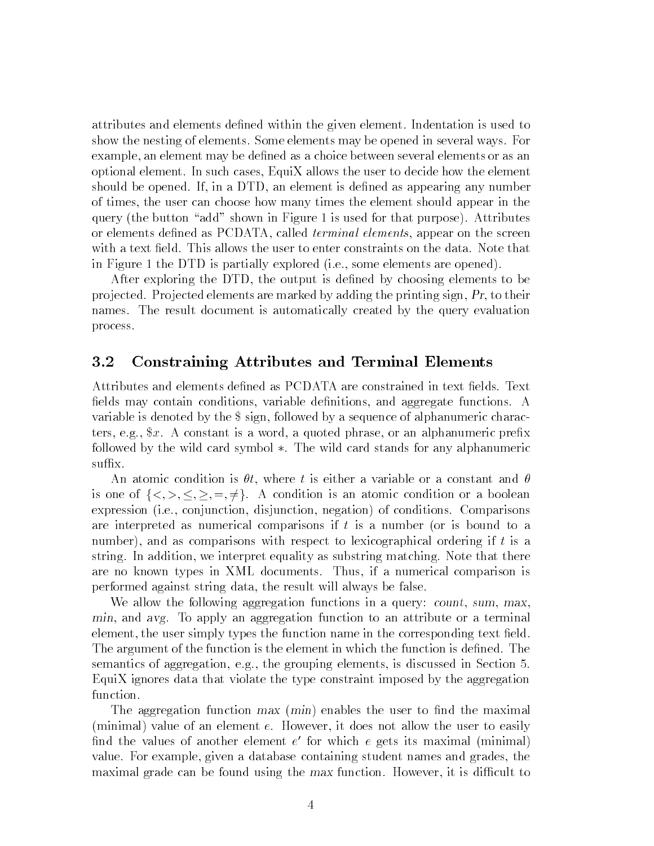attributes and elements defined within the given element. Indentation is used to show the nesting of elements. Some elements may be opened in several ways. For example, an element may be defined as a choice between several elements or as an optional element. In such cases, EquiX allows the user to decide how the element should be opened. If, in a DTD, an element is defined as appearing any number of times, the user can choose how many times the element should appear in the query (the button "add" shown in Figure 1 is used for that purpose). Attributes or elements defined as PCDATA, called *terminal elements*, appear on the screen with a text field. This allows the user to enter constraints on the data. Note that in Figure 1 the DTD is partially explored (i.e., some elements are opened).

After exploring the DTD, the output is defined by choosing elements to be pro jected. Pro jected elements are marked by adding the printing sign, Pr, to their names. The result document is automatically created by the query evaluation process.

### 3.2 Constraining Attributes and Terminal Elements

Attributes and elements defined as PCDATA are constrained in text fields. Text fields may contain conditions, variable definitions, and aggregate functions. A variable is denoted by the \$ sign, followed by a sequence of alphanumeric characters, e.g.,  $x$ . A constant is a word, a quoted phrase, or an alphanumeric prefix followed by the wild card symbol  $\ast$ . The wild card stands for any alphanumeric suffix.

An atomic condition is  $\theta t$ , where t is either a variable or a constant and  $\theta$ is one of  $\{<,>,\leq,\geq,=,\neq\}$ . A condition is an atomic condition or a boolean expression (i.e., conjunction, disjunction, negation) of conditions. Comparisons are interpreted as numerical comparisons if  $t$  is a number (or is bound to a number), and as comparisons with respect to lexicographical ordering if t is a string. In addition, we interpret equality as substring matching. Note that there are no known types in XML documents. Thus, if a numerical comparison is performed against string data, the result will always be false.

We allow the following aggregation functions in a query: count, sum, max, min, and avg. To apply an aggregation function to an attribute or a terminal element, the user simply types the function name in the corresponding text field. The argument of the function is the element in which the function is defined. The semantics of aggregation, e.g., the grouping elements, is discussed in Section 5. EquiX ignores data that violate the type constraint imposed by the aggregation function.

The aggregation function  $max(min)$  enables the user to find the maximal (minimal) value of an element e. However, it does not allow the user to easily  $\scriptstyle\rm m$ nd the values of another element  $e$  for which  $e$  gets its maximal (minimal)  $\scriptstyle\rm m$ value. For example, given a database containing student names and grades, the maximal grade can be found using the max function. However, it is difficult to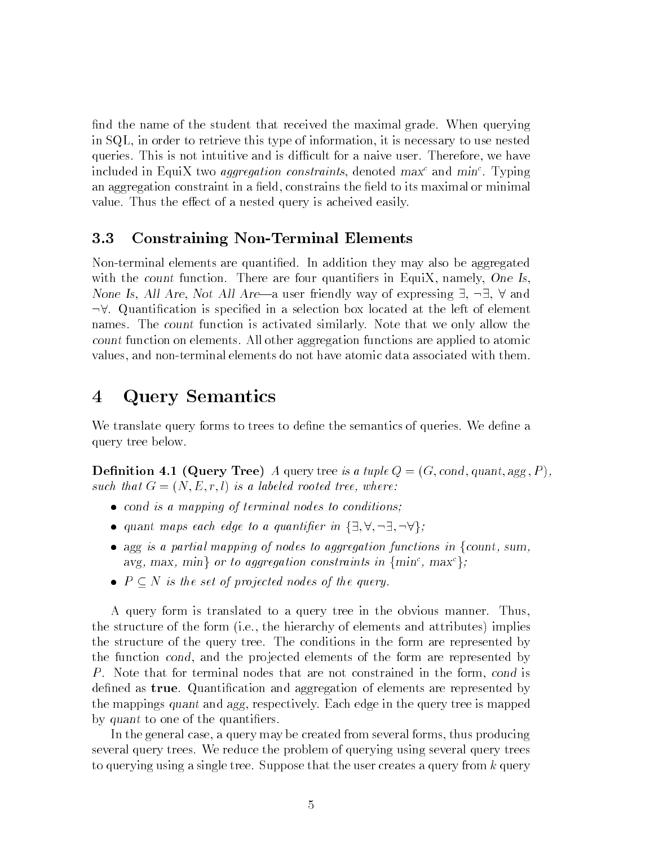find the name of the student that received the maximal grade. When querying in SQL, in order to retrieve this type of information, it is necessary to use nested queries. This is not intuitive and is difficult for a naive user. Therefore, we have included in Equi $\Lambda$  two *aggregation constraints*, denoted *max* and  $min$  . Typing an aggregation constraint in a field, constrains the field to its maximal or minimal value. Thus the effect of a nested query is acheived easily.

### 3.3 Constraining Non-Terminal Elements

Non-terminal elements are quantied. In addition they may also be aggregated with the count function. There are four quantifiers in EquiX, namely, One Is, None Is, All Are, Not All Are—a user friendly way of expressing  $\exists$ ,  $\neg \exists$ ,  $\forall$  and  $\neg \forall$ . Quantification is specified in a selection box located at the left of element names. The count function is activated similarly. Note that we only allow the count function on elements. All other aggregation functions are applied to atomic values, and non-terminal elements do not have atomic data associated with them.

#### 4Query Semantics

We translate query forms to trees to define the semantics of queries. We define a query tree below.

**Definition 4.1 (Query Tree)** A query tree is a tuple  $Q = (G, cond, quant, agg, P)$ , such that  $G = (N, E, r, l)$  is a labeled rooted tree, where:

- cond is a mapping of terminal nodes to conditions;
- quant maps each edge to a quantifier in  $\{\exists, \forall, \neg \exists, \neg \forall\};$
- agg is a partial mapping of nodes to aggregation functions in {count, sum, avg, max, min<sub>f</sub> or to aggregation constraints in  $\{$ minf, max $\}$ ;
- $P \subseteq N$  is the set of projected nodes of the query.

A query form is translated to a query tree in the obvious manner. Thus, the structure of the form (i.e., the hierarchy of elements and attributes) implies the structure of the query tree. The conditions in the form are represented by the function cond, and the projected elements of the form are represented by P. Note that for terminal nodes that are not constrained in the form, cond is defined as **true**. Quantification and aggregation of elements are represented by the mappings quant and agg, respectively. Each edge in the query tree is mapped by quant to one of the quantifiers.

In the general case, a query may be created from several forms, thus producing several query trees. We reduce the problem of querying using several query trees to querying using a single tree. Suppose that the user creates a query from  $k$  query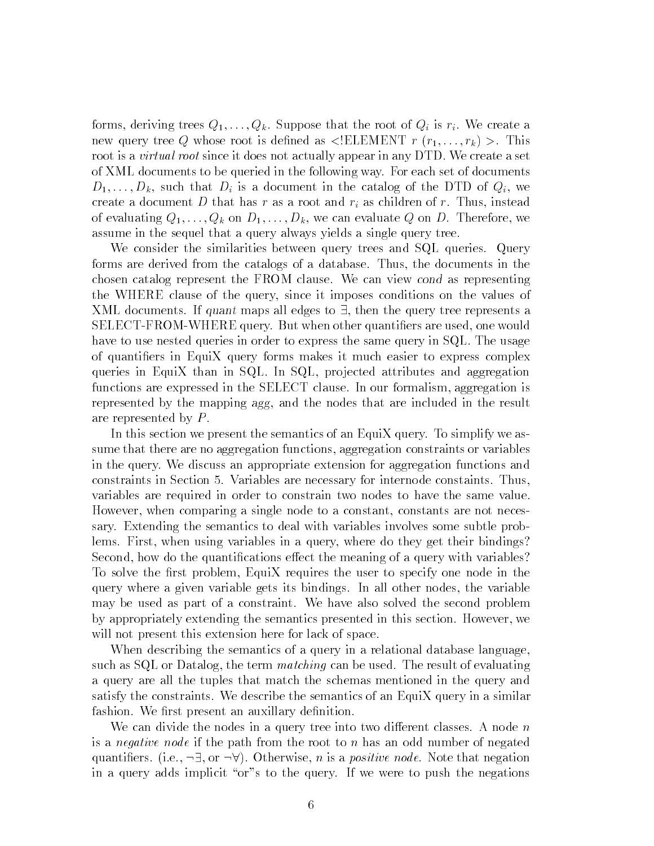forms, deriving trees  $Q_1,\ldots,Q_k$ . Suppose that the root of  $Q_i$  is  $r_i$ . We create a new query tree Q whose root is defined as  $\leq$ ELEMENT  $r(r_1,\ldots,r_k)$  >. This root is a virtual root since it does not actually appear in any DTD. We create a set of XML documents to be queried in the following way. For each set of documents  $D_1,\ldots,D_k$ , such that  $D_i$  is a document in the catalog of the DTD of  $Q_i$ , we create a document D that has r as a root and  $r_i$  as children of r. Thus, instead of evaluating  $Q_1,\ldots,Q_k$  on  $D_1,\ldots,D_k$ , we can evaluate Q on D. Therefore, we assume in the sequel that a query always yields a single query tree.

We consider the similarities between query trees and SQL queries. Query forms are derived from the catalogs of a database. Thus, the documents in the chosen catalog represent the FROM clause. We can view cond as representing the WHERE clause of the query, since it imposes conditions on the values of XML documents. If quant maps all edges to  $\exists$ , then the query tree represents a SELECT-FROM-WHERE query. But when other quantiers are used, one would have to use nested queries in order to express the same query in SQL. The usage of quantiers in EquiX query forms makes it much easier to express complex queries in EquiX than in SQL. In SQL, projected attributes and aggregation functions are expressed in the SELECT clause. In our formalism, aggregation is represented by the mapping agg, and the nodes that are included in the result are represented by P.

In this section we present the semantics of an EquiX query. To simplify we assume that there are no aggregation functions, aggregation constraints or variables in the query. We discuss an appropriate extension for aggregation functions and constraints in Section 5. Variables are necessary for internode constaints. Thus, variables are required in order to constrain two nodes to have the same value. However, when comparing a single node to a constant, constants are not necessary. Extending the semantics to deal with variables involves some subtle problems. First, when using variables in a query, where do they get their bindings? Second, how do the quantifications effect the meaning of a query with variables? To solve the first problem, EquiX requires the user to specify one node in the query where a given variable gets its bindings. In all other nodes, the variable may be used as part of a constraint. We have also solved the second problem by appropriately extending the semantics presented in this section. However, we will not present this extension here for lack of space.

When describing the semantics of a query in a relational database language, such as SQL or Datalog, the term matching can be used. The result of evaluating a query are all the tuples that match the schemas mentioned in the query and satisfy the constraints. We describe the semantics of an EquiX query in a similar fashion. We first present an auxillary definition.

We can divide the nodes in a query tree into two different classes. A node  $n$ is a *negative node* if the path from the root to n has an odd number of negated quantifiers. (i.e.,  $\neg \exists$ , or  $\neg \forall$ ). Otherwise, n is a *positive node*. Note that negation in a query adds implicit "or"s to the query. If we were to push the negations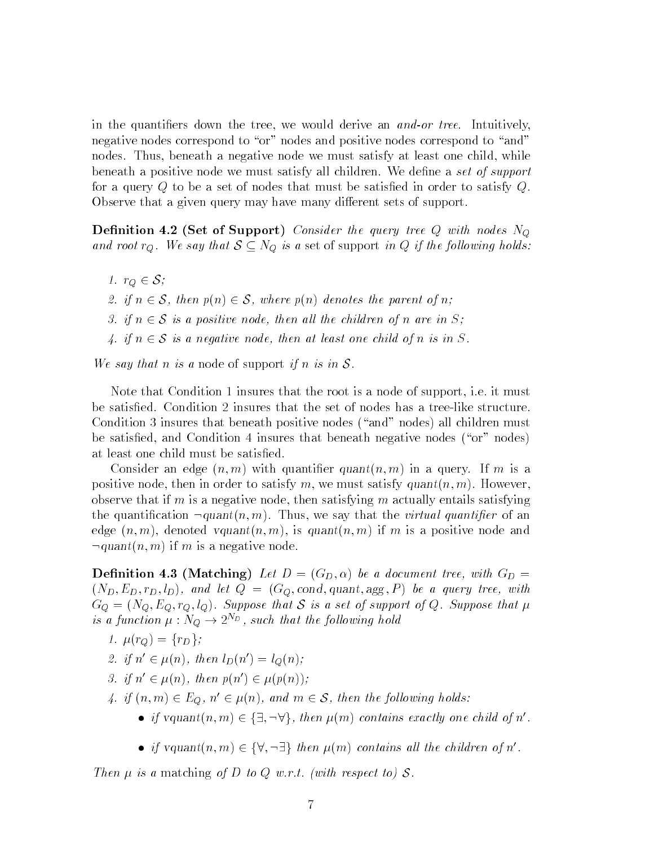in the quantifiers down the tree, we would derive an *and-or tree*. Intuitively, negative nodes correspond to "or" nodes and positive nodes correspond to "and" nodes. Thus, beneath a negative node we must satisfy at least one child, while beneath a positive node we must satisfy all children. We define a set of support for a query <sup>Q</sup> to be a set of nodes that must be satised in order to satisfy Q. Observe that a given query may have many different sets of support.

**Definition 4.2 (Set of Support)** Consider the query tree  $Q$  with nodes  $N_Q$ and root  $r_Q$ . We say that  $S \subseteq N_Q$  is a set of support in Q if the following holds:

1.  $r_Q \in \mathcal{S}$ ; 2. if  $n \in \mathcal{S}$ , then  $p(n) \in \mathcal{S}$ , where  $p(n)$  denotes the parent of n; 3. if  $n \in S$  is a positive node, then all the children of n are in S; 4. if  $n \in S$  is a negative node, then at least one child of n is in S.

We say that n is a node of support if n is in  $S$ .

Note that Condition 1 insures that the root is a node of support, i.e. it must be satised. Condition 2 insures that the set of nodes has a tree-like structure. Condition 3 insures that beneath positive nodes ("and" nodes) all children must be satisfied, and Condition 4 insures that beneath negative nodes ("or" nodes) at least one child must be satised.

Consider an edge  $(n, m)$  with quantifier quant $(n, m)$  in a query. If m is a positive node, then in order to satisfy m, we must satisfy  $quant(n, m)$ . However, observe that if m is a negative node, then satisfying m actually entails satisfying the quantification  $\neg \text{quant}(n, m)$ . Thus, we say that the *virtual quantifier* of an edge  $(n, m)$ , denoted vquant $(n, m)$ , is quant $(n, m)$  if m is a positive node and  $\lnot$ quant $(n, m)$  if m is a negative node.

**Definition 4.3 (Matching)** Let  $D = (G_D, \alpha)$  be a document tree, with  $G_D =$  $(N_D, E_D, r_D, l_D)$ , and let  $Q = (G_Q, cond, quant, agg, P)$  be a query tree, with  $G_Q = (N_Q, E_Q, r_Q, l_Q)$ . Suppose that S is a set of support of Q. Suppose that  $\mu$ is a function  $\mu : N_Q \to 2^{N_D}$ , such that the following hold

- 1.  $\mu(r_Q) = \{r_D\};$
- 2. if  $n' \in \mu(n)$ , then  $l_D(n') = l_O(n)$ ;
- 3. if  $n' \in \mu(n)$ , then  $p(n') \in \mu(p(n))$ ;
- 4. if  $(n, m) \in E_Q$ ,  $n' \in \mu(n)$ , and  $m \in S$ , then the following holds:
	- if vquant $(n, m) \in {\exists, \neg \forall}$ , then  $\mu(m)$  contains exactly one child of n'.
	- if vquant $(n, m) \in {\forall, \neg \exists}$  then  $\mu(m)$  contains all the children of n'.

Then  $\mu$  is a matching of D to Q w.r.t. (with respect to) S.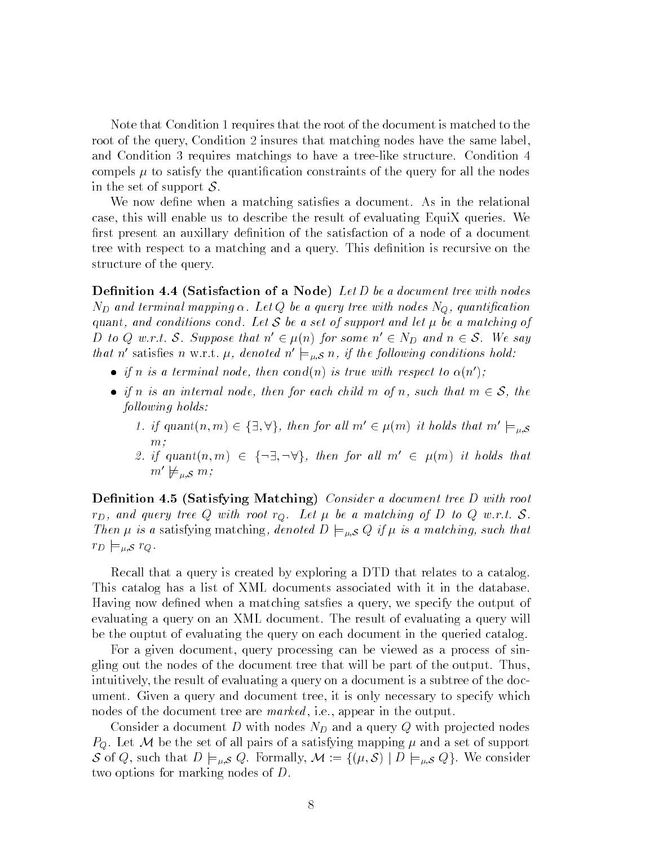Note that Condition 1 requires that the root of the document is matched to the root of the query, Condition 2 insures that matching nodes have the same label, and Condition 3 requires matchings to have a tree-like structure. Condition 4 compels  $\mu$  to satisfy the quantification constraints of the query for all the nodes in the set of support  $S$ .

We now define when a matching satisfies a document. As in the relational case, this will enable us to describe the result of evaluating EquiX queries. We first present an auxillary definition of the satisfaction of a node of a document tree with respect to a matching and a query. This definition is recursive on the structure of the query.

**Definition 4.4 (Satisfaction of a Node)** Let D be a document tree with nodes  $N_D$  and terminal mapping  $\alpha$ . Let Q be a query tree with nodes  $N_Q$ , quantification quant, and conditions cond. Let  $S$  be a set of support and let  $\mu$  be a matching of D to Q w.r.t. S. Suppose that  $n \in \mu(n)$  for some  $n \in N_D$  and  $n \in S$ . We say that n' satisfies n w.r.t.  $\mu$ , denoted  $n' \models_{\mu, \mathcal{S}} n$ , if the following conditions hold:

- if n is a terminal node, then cond(n) is true with respect to  $\alpha(n')$ ;
- if n is an internal node, then for each child m of n, such that  $m \in \mathcal{S}$ , the following holds:
	- 1. if quant $(n, m) \in \{\exists, \forall\}$ , then for all  $m' \in \mu(m)$  it holds that  $m' \models_{\mu, \mathcal{S}}$ m;
	- 2. if  $quant(n,m) \in \{\neg \exists, \neg \forall\}$ , then for all  $m' \in \mu(m)$  it holds that  $m' \not\models_{\mu,S} m;$

Definition 4.5 (Satisfying Matching) Consider a document tree D with root  $r_D$ , and query tree Q with root  $r_Q$ . Let  $\mu$  be a matching of D to Q w.r.t. S. Then  $\mu$  is a satisfying matching, denoted  $D \models_{\mu, \mathcal{S}} Q$  if  $\mu$  is a matching, such that  $r_D \models_{\mu, \mathcal{S}} r_Q.$ 

Recall that a query is created by exploring a DTD that relates to a catalog. This catalog has a list of XML documents associated with it in the database. Having now defined when a matching satsfies a query, we specify the output of evaluating a query on an XML document. The result of evaluating a query will be the ouptut of evaluating the query on each document in the queried catalog.

For a given document, query processing can be viewed as a process of singling out the nodes of the document tree that will be part of the output. Thus, intuitively, the result of evaluating a query on a document is a subtree of the document. Given a query and document tree, it is only necessary to specify which nodes of the document tree are *marked*, i.e., appear in the output.

Consider a document D with nodes  $N_D$  and a query Q with projected nodes  $P_Q$ . Let M be the set of all pairs of a satisfying mapping  $\mu$  and a set of support S of Q, such that  $D \models_{\mu,S} Q$ . Formally,  $\mathcal{M} := \{(\mu, \mathcal{S}) \mid D \models_{\mu,S} Q\}$ . We consider two options for marking nodes of D.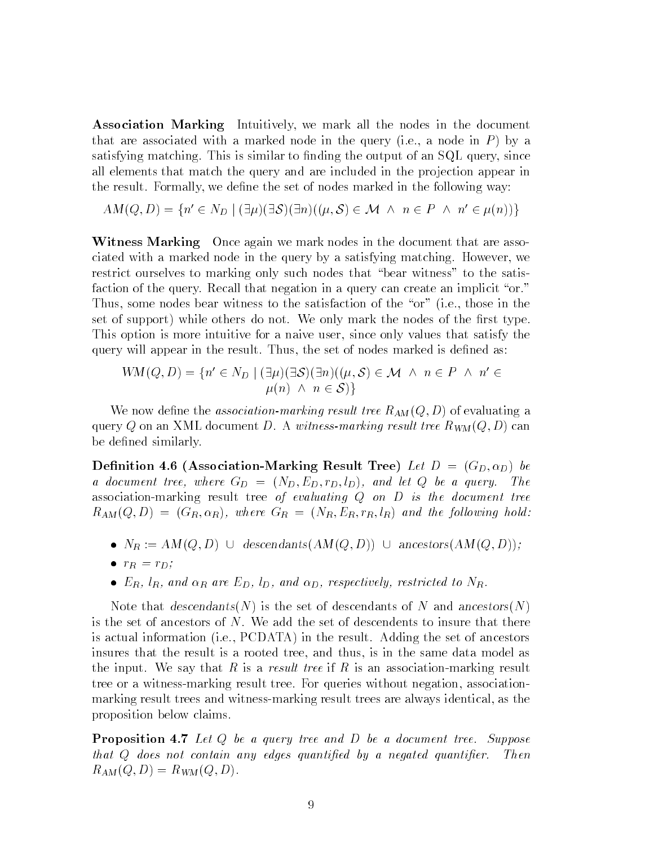Association Marking Intuitively, we mark all the nodes in the document that are associated with a marked node in the query (i.e., a node in  $P$ ) by a satisfying matching. This is similar to finding the output of an  $SQL$  query, since all elements that match the query and are included in the projection appear in the result. Formally, we define the set of nodes marked in the following way:

 $AM(Q, D) = \{n' \in N_D \mid (\exists \mu)(\exists \mathcal{S})(\exists n)((\mu, \mathcal{S}) \in \mathcal{M} \land n \in P \land n' \in \mu(n))\}$ 

Witness Marking Once again we mark nodes in the document that are associated with a marked node in the query by a satisfying matching. However, we restrict ourselves to marking only such nodes that \bear witness" to the satisfaction of the query. Recall that negation in a query can create an implicit "or." Thus, some nodes bear witness to the satisfaction of the "or" (i.e., those in the set of support) while others do not. We only mark the nodes of the first type. This option is more intuitive for a naive user, since only values that satisfy the query will appear in the result. Thus, the set of nodes marked is defined as:

$$
WM(Q, D) = \{n' \in N_D \mid (\exists \mu)(\exists \mathcal{S})(\exists n)((\mu, \mathcal{S}) \in \mathcal{M} \land n \in P \land n' \in \mu(n) \land n \in \mathcal{S})\}
$$

We now define the *association-marking result tree*  $R_{AM}(Q, D)$  of evaluating a query Q on an XML document D. A witness-marking result tree  $R_{WM}(Q, D)$  can be defined similarly.

Definition 4.6 (Association-Marking Result Tree) Let  $D = (G_D, \alpha_D)$  be a document tree, where  $G_D = (N_D, E_D, r_D, l_D)$ , and let Q be a query. The association-marking result tree of evaluating <sup>Q</sup> on <sup>D</sup> is the document tree  $R_{AM}(Q, D) = (G_R, \alpha_R)$ , where  $G_R = (N_R, E_R, r_R, l_R)$  and the following hold:

- $N_R := AM(Q, D)$  U descendants $(AM(Q, D))$  U ancestors $(AM(Q, D));$
- $r_R = r_D;$
- $E_R$ ,  $l_R$ , and  $\alpha_R$  are  $E_D$ ,  $l_D$ , and  $\alpha_D$ , respectively, restricted to  $N_R$ .

Note that descendants(N) is the set of descendants of N and ancestors(N) is the set of ancestors of N. We add the set of descendents to insure that there is actual information (i.e., PCDATA) in the result. Adding the set of ancestors insures that the result is a rooted tree, and thus, is in the same data model as the input. We say that R is a result tree if R is an association-marking result tree or a witness-marking result tree. For queries without negation, associationmarking result trees and witness-marking result trees are always identical, as the proposition below claims.

**Proposition 4.7** Let Q be a query tree and D be a document tree. Suppose that Q does not contain any edges quantified by a negated quantifier. Then  $R_{AM}(Q, D) = R_{WM}(Q, D).$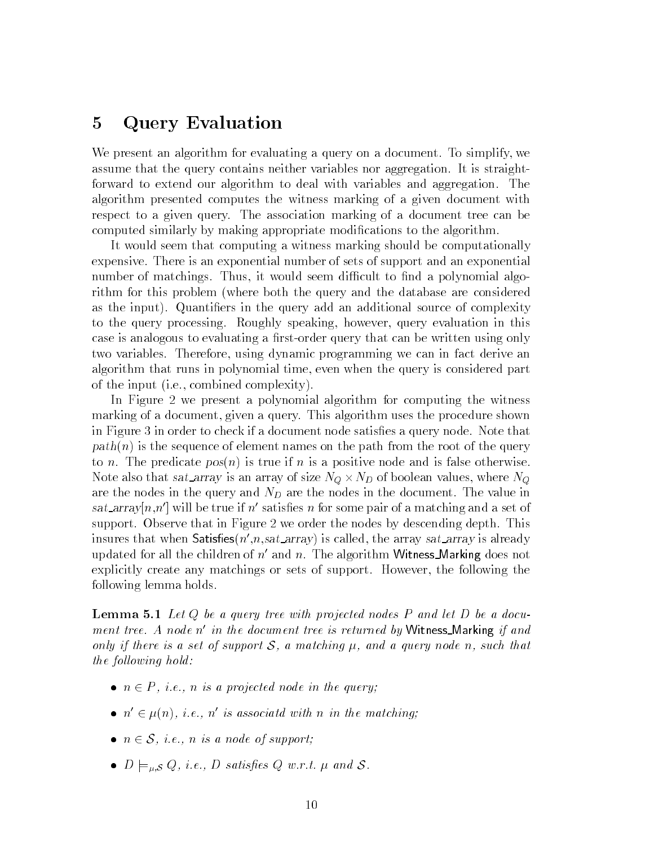#### 5Query Evaluation

We present an algorithm for evaluating a query on a document. To simplify, we assume that the query contains neither variables nor aggregation. It is straightforward to extend our algorithm to deal with variables and aggregation. The algorithm presented computes the witness marking of a given document with respect to a given query. The association marking of a document tree can be computed similarly by making appropriate modications to the algorithm.

It would seem that computing a witness marking should be computationally expensive. There is an exponential number of sets of support and an exponential number of matchings. Thus, it would seem difficult to find a polynomial algorithm for this problem (where both the query and the database are considered as the input). Quantiers in the query add an additional source of complexity to the query processing. Roughly speaking, however, query evaluation in this case is analogous to evaluating a first-order query that can be written using only two variables. Therefore, using dynamic programming we can in fact derive an algorithm that runs in polynomial time, even when the query is considered part of the input (i.e., combined complexity).

In Figure 2 we present a polynomial algorithm for computing the witness marking of a document, given a query. This algorithm uses the procedure shown in Figure 3 in order to check if a document node satisfies a query node. Note that  $path(n)$  is the sequence of element names on the path from the root of the query to n. The predicate  $pos(n)$  is true if n is a positive node and is false otherwise. where  $\alpha$  is an array is an array of size  $\alpha$  , where  $\alpha$  is a size  $\alpha$  , where  $\alpha$  ,  $\alpha$ are the nodes in the query and  $N_D$  are the nodes in the document. The value in sat\_array $[n,n']$  will be true if n' satisfies n for some pair of a matching and a set of support. Observe that in Figure 2 we order the nodes by descending depth. This insures that when Satisfies  $(n',n,sat.array)$  is called, the array sat array is already updated for all the children of  $n^{\prime}$  and n. The algorithm Witness Marking does not explicitly create any matchings or sets of support. However, the following the following lemma holds.

**Lemma 5.1** Let Q be a query tree with projected nodes P and let D be a document tree. A node n' in the document tree is returned by Witness\_Marking if and only if there is a set of support  $S$ , a matching  $\mu$ , and a query node n, such that the following hold:

- $n \in P$ , i.e., n is a projected node in the query;
- $n' \in \mu(n)$ , i.e., n' is associatd with n in the matching;
- $n \in \mathcal{S}$ , i.e., n is a node of support;
- $D \models_{\mu, \mathcal{S}} Q$ , i.e., D satisfies Q w.r.t.  $\mu$  and S.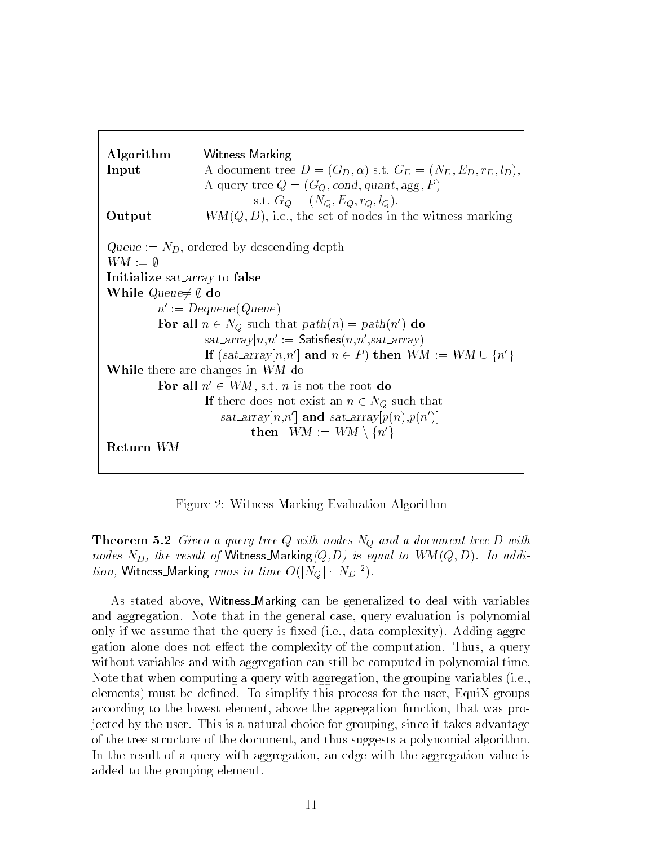

Figure 2: Witness Marking Evaluation Algorithm

**Theorem 5.2** Given a query tree Q with nodes  $N_Q$  and a document tree D with nodes  $N_D$ , the result of Witness\_Marking  $(Q, D)$  is equal to  $WM(Q, D)$ . In addition, Witness\_Marking runs in time  $O(|N_Q|\cdot|N_D|^2)$ .

As stated above, Witness Marking can be generalized to deal with variables and aggregation. Note that in the general case, query evaluation is polynomial only if we assume that the query is fixed (i.e., data complexity). Adding aggregation alone does not effect the complexity of the computation. Thus, a query without variables and with aggregation can still be computed in polynomial time. Note that when computing a query with aggregation, the grouping variables (i.e.,  $\alpha$  elements) must be defined. To simplify this process for the user, EquiX groups according to the lowest element, above the aggregation function, that was projected by the user. This is a natural choice for grouping, since it takes advantage of the tree structure of the document, and thus suggests a polynomial algorithm. In the result of a query with aggregation, an edge with the aggregation value is added to the grouping element.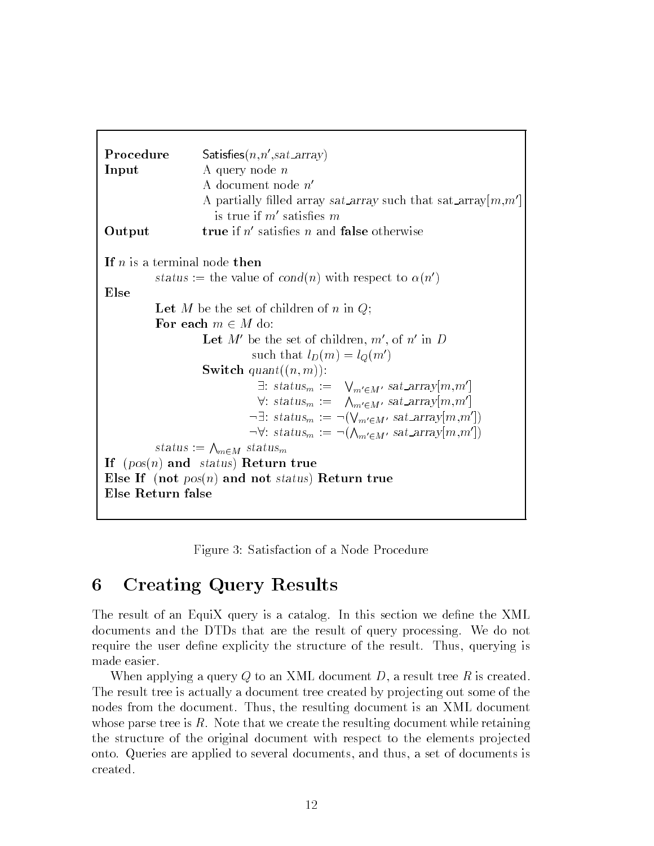```
 Satisfies (n, n', sat\_array)Input A query node nA document node n<sup>l</sup>A partially filled array sat array such that sat array [m,m]is true if m' satisfies mOutput true if n' satisfies n and false otherwise
If n is a terminal node then
          status := the value of cond(n) with respect to \alpha(n')Else
          Let M be the set of children of n in Q;
          For each m \in M do:
                    Let M' be the set of children, m', of n' in D
                              such that l_D(m) = l_Q(m')Switch quant((n, m)):
                               \exists: status<sub>m</sub> := \bigvee_{m' \in M'} sat_array[m,m']\forall: \; status_m := \; \; \wedge_{m' \in M'} \; sat\_array[m,m']\neg \exists: status<sub>m</sub> := \neg (\bigvee_{m' \in M'} sat\_array|m,m'|)\neg \forall : status_m := \neg(\bigwedge_{m' \in M'} sat\_array|m,m'|)status := \bigwedge_{m \in M} status<sub>m</sub>
If (pos(n) and status) Return true
Else If (not pos(n) and not status) Return true
Else Return false
```
Figure 3: Satisfaction of a Node Procedure

#### 6Creating Query Results

The result of an EquiX query is a catalog. In this section we define the XML documents and the DTDs that are the result of query processing. We do not require the user define explicity the structure of the result. Thus, querying is made easier.

When applying a query Q to an XML document D, a result tree R is created. The result tree is actually a document tree created by projecting out some of the nodes from the document. Thus, the resulting document is an XML document whose parse tree is  $R$ . Note that we create the resulting document while retaining the structure of the original document with respect to the elements projected onto. Queries are applied to several documents, and thus, a set of documents is created.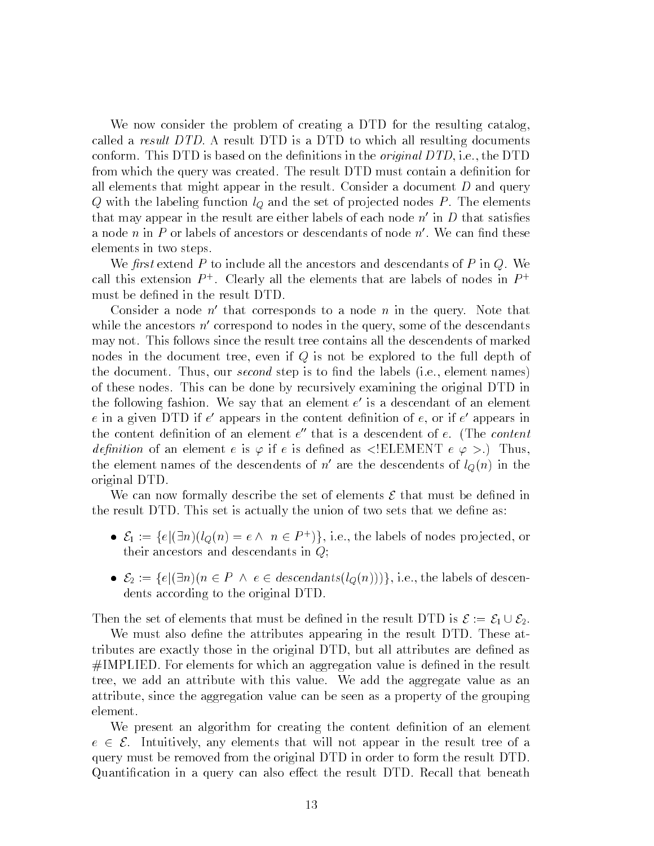We now consider the problem of creating a DTD for the resulting catalog, called a result  $DTD$ . A result DTD is a DTD to which all resulting documents conform. This DTD is based on the definitions in the *original DTD*, i.e., the DTD from which the query was created. The result DTD must contain a definition for all elements that might appear in the result. Consider a document  $D$  and query Q with the labeling function  $l<sub>Q</sub>$  and the set of projected nodes P. The elements that may appear in the result are either labels of each node  $n'$  in D that satisfies a node n in P or labels of ancestors or descendants of node  $n'$ . We can find these elements in two steps.

We first extend  $P$  to include all the ancestors and descendants of  $P$  in  $Q$ . We call this extension  $P^+$ . Clearly all the elements that are labels of nodes in  $P^+$ must be defined in the result DTD.

Consider a node  $n'$  that corresponds to a node n in the query. Note that while the ancestors  $n'$  correspond to nodes in the query, some of the descendants may not. This follows since the result tree contains all the descendents of marked nodes in the document tree, even if <sup>Q</sup> is not be explored to the full depth of the document. Thus, our *second* step is to find the labels (i.e., element names) of these nodes. This can be done by recursively examining the original DTD in the following fashion. We say that an element  $e$  is a descendant of an element  $\hspace{0.1mm}$  $e$  in a given DTD if  $e$  appears in the content definition of  $e$ , or if  $e$  appears in  $\blacksquare$ the content definition of an element  $e$  -that is a descendent of  $e$ . (The *content*  $\sim$ *definition* of an element e is  $\varphi$  if e is defined as  $\leq$ ELEMENT e  $\varphi$  >.) Thus, the element names of the descendents of  $n'$  are the descendents of  $l_Q(n)$  in the original DTD.

We can now formally describe the set of elements  $\mathcal E$  that must be defined in the result DTD. This set is actually the union of two sets that we dene as:

- $\bullet$   $\varepsilon_1 := \{e | \exists n | (q(n) = e \land n \in P^+) \},$  i.e., the labels of nodes projected, or their ancestors and descendants in Q;
- $\mathcal{E}_2 := \{e | (\exists n)(n \in P \land e \in descendants(l_Q(n)))\}, i.e., the labels of descent$ dents according to the original DTD.

Then the set of elements that must be defined in the result DTD is  $\mathcal{E} := \mathcal{E}_1 \cup \mathcal{E}_2$ .

We must also define the attributes appearing in the result DTD. These attributes are exactly those in the original DTD, but all attributes are dened as  $#IMPLIED.$  For elements for which an aggregation value is defined in the result tree, we add an attribute with this value. We add the aggregate value as an attribute, since the aggregation value can be seen as a property of the grouping element.

We present an algorithm for creating the content definition of an element e 2 E.C. Intuitively, any elements that will not appear in the result to any  $\alpha$ query must be removed from the original DTD in order to form the result DTD. Quantification in a query can also effect the result DTD. Recall that beneath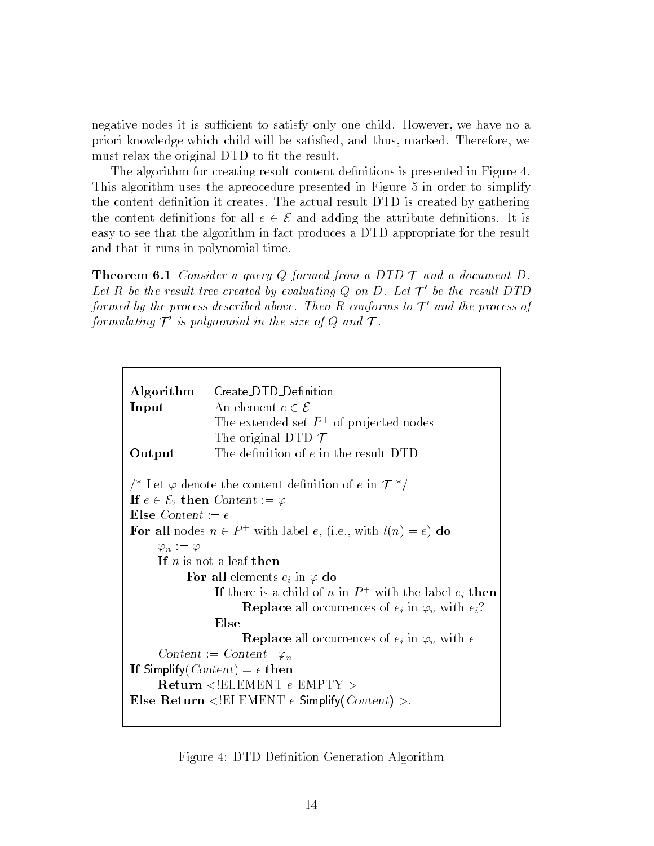negative nodes it is sufficient to satisfy only one child. However, we have no a priori knowledge which child will be satisfied, and thus, marked. Therefore, we must relax the original DTD to fit the result.

The algorithm for creating result content definitions is presented in Figure 4. This algorithm uses the apreocedure presented in Figure 5 in order to simplify the content definition it creates. The actual result DTD is created by gathering the content definitions for all  $e \in \mathcal{E}$  and adding the attribute definitions. It is easy to see that the algorithm in fact produces a DTD appropriate for the result and that it runs in polynomial time.

**Theorem 6.1** Consider a query  $Q$  formed from a DTD  $T$  and a document  $D$ . Let R be the result tree created by evaluating Q on D. Let  $\mathcal{T}'$  be the result DTD formed by the process described above. Then R conforms to  $\mathcal{T}'$  and the process of formulating  $\bm{\eta}$  is polynomial in the size of  $Q$  and  $\bm{\eta}$  .

Figure 4: DTD Definition Generation Algorithm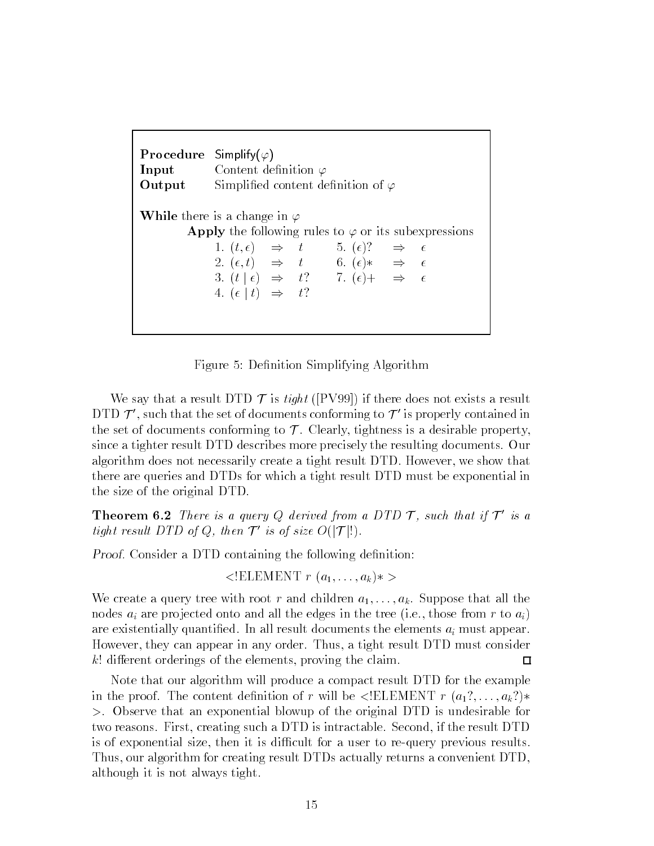| <b>Procedure</b> Simplify( $\varphi$ ) | <b>Input</b> Content definition $\varphi$<br><b>Output</b> Simplified content definition of $\varphi$                                                                                                                                                                                                                                                                                              |
|----------------------------------------|----------------------------------------------------------------------------------------------------------------------------------------------------------------------------------------------------------------------------------------------------------------------------------------------------------------------------------------------------------------------------------------------------|
|                                        | <b>While</b> there is a change in $\varphi$<br><b>Apply</b> the following rules to $\varphi$ or its subexpressions<br>1. $(t, \epsilon) \Rightarrow t \qquad 5. (\epsilon)? \Rightarrow \epsilon$<br>2. $(\epsilon, t) \Rightarrow t$ 6. $(\epsilon)* \Rightarrow \epsilon$<br>3. $(t   \epsilon) \Rightarrow t$ ? 7. $(\epsilon)$ + $\Rightarrow \epsilon$<br>4. $(\epsilon   t) \Rightarrow t$ ? |

Figure 5: Definition Simplifying Algorithm

We say that a result DTD  $\mathcal T$  is tight ([PV99]) if there does not exists a result  $DID$  T  $J$  , such that the set of documents conforming to  $J$  -is properly contained in  $\overline{D}$ the set of documents conforming to  $\mathcal T$ . Clearly, tightness is a desirable property, since a tighter result DTD describes more precisely the resulting documents. Our algorithm does not necessarily create a tight result DTD. However, we show that there are queries and DTDs for which a tight result DTD must be exponential in the size of the original DTD.

**Theorem 6.2** There is a query Q derived from a DTD  $\mathcal{T}$ , such that if  $\mathcal{T}'$  is a tight result DTD of Q, then  $\mathcal{T}'$  is of size  $O(|\mathcal{T}|!)$ .

Proof. Consider a DTD containing the following definition:

 $\langle ELEMENT \r(a_1, \ldots, a_k) \rangle$ 

We create a query tree with root r and children  $a_1,\ldots,a_k$ . Suppose that all the nodes  $a_i$  are projected onto and all the edges in the tree (i.e., those from r to  $a_i$ ) are existentially quantified. In all result documents the elements  $a_i$  must appear. However, they can appear in any order. Thus, a tight result DTD must consider  $k!$  different orderings of the elements, proving the claim.  $\Box$ 

Note that our algorithm will produce a compact result DTD for the example in the proof. The content definition of r will be  $\leq !ELEMENT$  r  $(a_1?$ ,  $\dots, a_k?$ )\* >. Observe that an exponential blowup of the original DTD is undesirable for two reasons. First, creating such a DTD is intractable. Second, if the result DTD is of exponential size, then it is difficult for a user to re-query previous results. Thus, our algorithm for creating result DTDs actually returns a convenient DTD, although it is not always tight.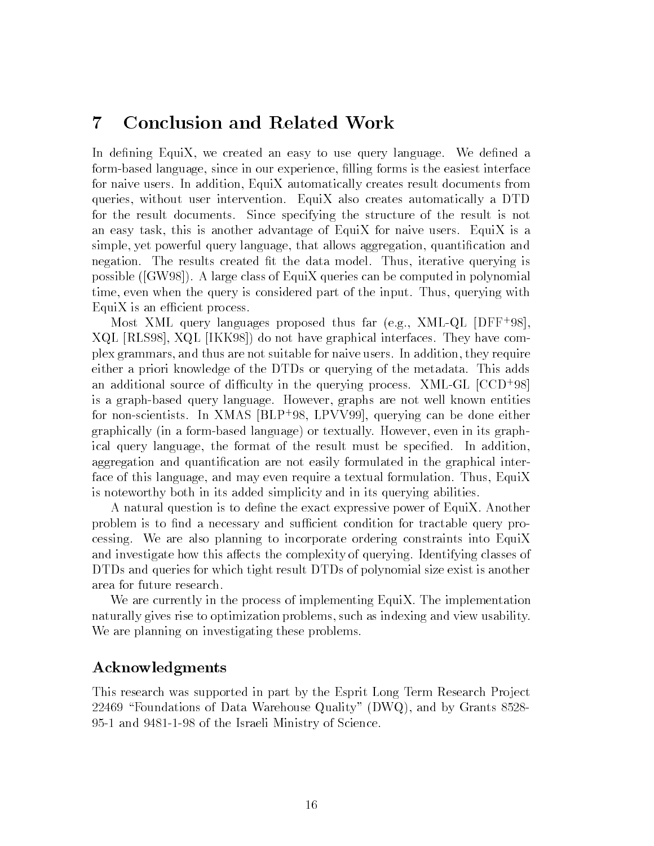#### 7Conclusion and Related Work

In defining EquiX, we created an easy to use query language. We defined a form-based language, since in our experience, lling forms is the easiest interface for naive users. In addition, EquiX automatically creates result documents from queries, without user intervention. EquiX also creates automatically a DTD for the result documents. Since specifying the structure of the result is not an easy task, this is another advantage of EquiX for naive users. EquiX is a simple, yet powerful query language, that allows aggregation, quantication and negation. The results created fit the data model. Thus, iterative querying is possible ([GW98]). A large class of EquiX queries can be computed in polynomial time, even when the query is considered part of the input. Thus, querying with  $EquiX$  is an efficient process.

Most XML query languages proposed thus far (e.g., XML-QL [DFF+ 98], XQL [RLS98], XQL [IKK98]) do not have graphical interfaces. They have complex grammars, and thus are not suitable for naive users. In addition, they require either a priori knowledge of the DTDs or querying of the metadata. This adds an additional source of difficulty in the querying process. AML-GL  $\left[ \cup \cup D \right]$  38] is a graph-based query language. However, graphs are not well known entities for non-scientists. In  $\Delta \text{M}$ AS  $|\text{DLF}|\text{--}98$ , LPVV99], querying can be done either graphically (in a form-based language) or textually. However, even in its graphical query language, the format of the result must be specied. In addition, aggregation and quantication are not easily formulated in the graphical interface of this language, and may even require a textual formulation. Thus, EquiX is noteworthy both in its added simplicity and in its querying abilities.

A natural question is to define the exact expressive power of EquiX. Another problem is to find a necessary and sufficient condition for tractable query processing. We are also planning to incorporate ordering constraints into EquiX and investigate how this affects the complexity of querying. Identifying classes of DTDs and queries for which tight result DTDs of polynomial size exist is another area for future research.

We are currently in the process of implementing EquiX. The implementation naturally gives rise to optimization problems, such as indexing and view usability. We are planning on investigating these problems.

### Acknowledgments

This research was supported in part by the Esprit Long Term Research Project 22469 "Foundations of Data Warehouse Quality" (DWQ), and by Grants  $8528-$ 95-1 and 9481-1-98 of the Israeli Ministry of Science.